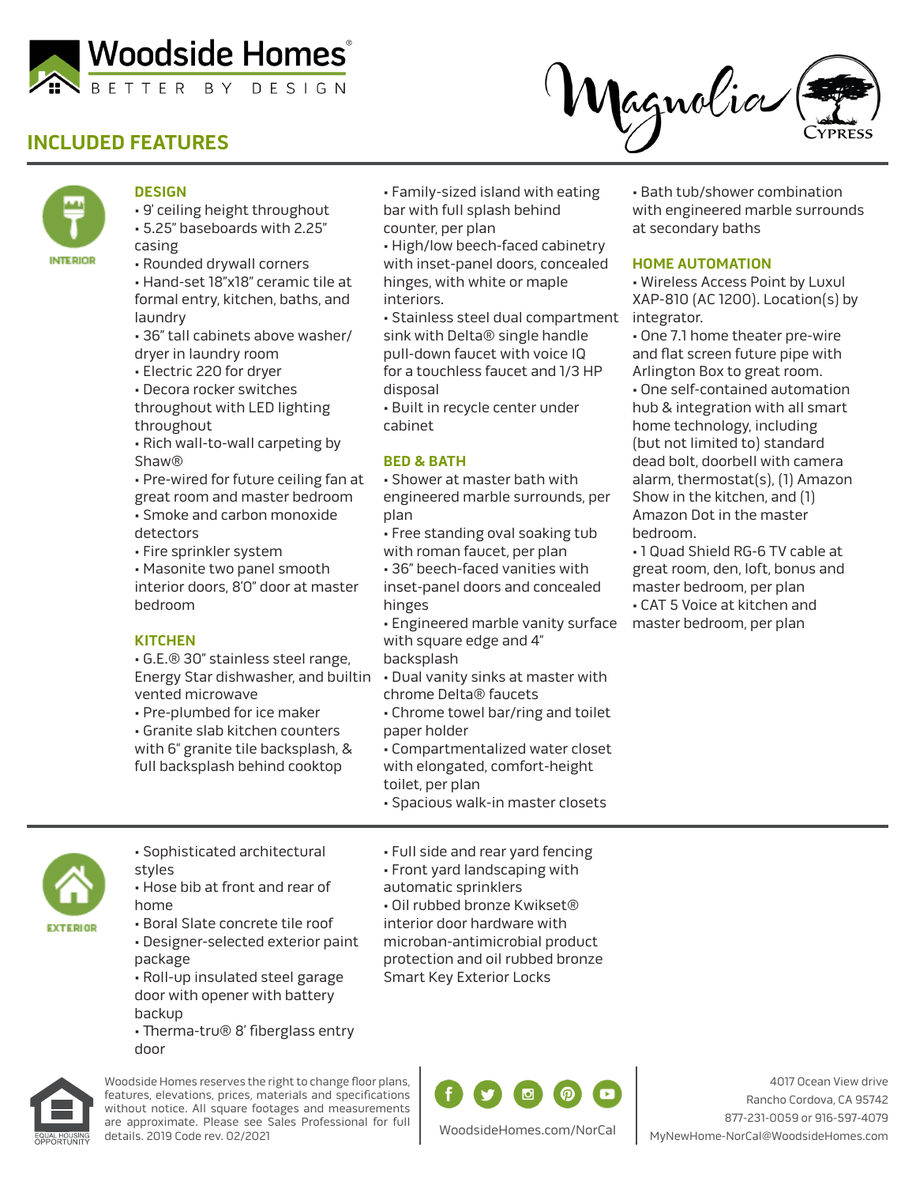

# **INCLUDED FEATURES**





## **DESIGN**

• 9' ceiling height throughout • 5.25" baseboards with 2.25" casing

• Rounded drywall corners

• Hand-set 18"x18" ceramic tile at formal entry, kitchen, baths, and laundry

- 36" tall cabinets above washer/ dryer in laundry room
- Electric 220 for dryer

• Decora rocker switches throughout with LED lighting

throughout • Rich wall-to-wall carpeting by Shaw®

• Pre-wired for future ceiling fan at great room and master bedroom • Smoke and carbon monoxide detectors

• Fire sprinkler system

• Masonite two panel smooth interior doors, 8'0" door at master bedroom

## **KITCHEN**

• G.E.® 30" stainless steel range, Energy Star dishwasher, and builtin • Dual vanity sinks at master with vented microwave

• Pre-plumbed for ice maker

• Granite slab kitchen counters with 6" granite tile backsplash, & full backsplash behind cooktop

• Family-sized island with eating bar with full splash behind counter, per plan

• High/low beech-faced cabinetry with inset-panel doors, concealed hinges, with white or maple interiors.

• Stainless steel dual compartment sink with Delta® single handle pull-down faucet with voice IQ for a touchless faucet and 1/3 HP disposal

• Built in recycle center under cabinet

### **BED & BATH**

• Shower at master bath with engineered marble surrounds, per plan

• Free standing oval soaking tub with roman faucet, per plan

• 36" beech-faced vanities with inset-panel doors and concealed hinges

• Engineered marble vanity surface with square edge and 4"

backsplash

chrome Delta® faucets

- Chrome towel bar/ring and toilet paper holder
- Compartmentalized water closet with elongated, comfort-height toilet, per plan

• Spacious walk-in master closets

• Full side and rear yard fencing • Front yard landscaping with

• Oil rubbed bronze Kwikset® interior door hardware with

automatic sprinklers



**EXTERIOR** 

• Sophisticated architectural styles • Hose bib at front and rear of

home

- Boral Slate concrete tile roof • Designer-selected exterior paint package • Roll-up insulated steel garage
- door with opener with battery backup
- Therma-tru® 8' fiberglass entry door



Woodside Homes reserves the right to change floor plans, features, elevations, prices, materials and specifications without notice. All square footages and measurements are approximate. Please see Sales Professional for full details. 2019 Code rev. 02/2021

microban-antimicrobial product protection and oil rubbed bronze Smart Key Exterior Locks



4017 Ocean View drive Rancho Cordova, CA 95742 877-231-0059 or 916-597-4079 MyNewHome-NorCal@WoodsideHomes.com

• Bath tub/shower combination with engineered marble surrounds at secondary baths

### **HOME AUTOMATION**

• Wireless Access Point by Luxul XAP-810 (AC 1200). Location(s) by integrator.

• One 7.1 home theater pre-wire and flat screen future pipe with Arlington Box to great room.

• One self-contained automation hub & integration with all smart home technology, including (but not limited to) standard dead bolt, doorbell with camera alarm, thermostat(s), (1) Amazon Show in the kitchen, and (1) Amazon Dot in the master bedroom.

• 1 Quad Shield RG-6 TV cable at great room, den, loft, bonus and master bedroom, per plan • CAT 5 Voice at kitchen and master bedroom, per plan